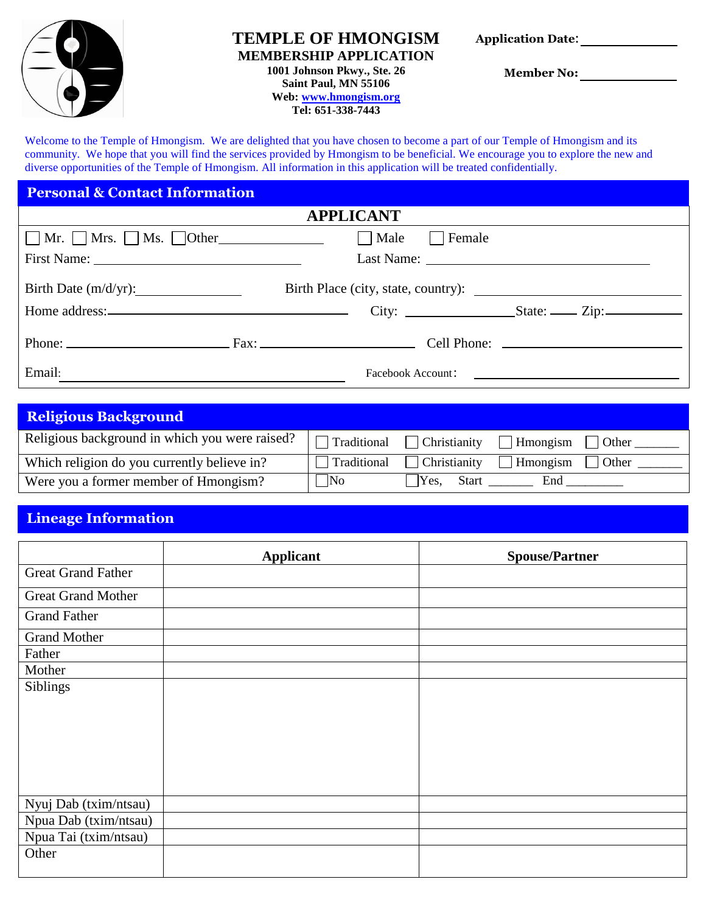

# **TEMPLE OF HMONGISM**

**MEMBERSHIP APPLICATION**

**1001 Johnson Pkwy., Ste. 26 Saint Paul, MN 55106 Web[: www.hmongism.org](http://www.hmongism.org/)**

**Tel: 651-338-7443**

**Application Date**:

 **Member No:** 

Welcome to the Temple of Hmongism. We are delighted that you have chosen to become a part of our Temple of Hmongism and its community.We hope that you will find the services provided by Hmongism to be beneficial. We encourage you to explore the new and diverse opportunities of the Temple of Hmongism. All information in this application will be treated confidentially.

| <b>Personal &amp; Contact Information</b>      |               |  |  |  |
|------------------------------------------------|---------------|--|--|--|
| <b>APPLICANT</b>                               |               |  |  |  |
| $\Box$ Mr. $\Box$ Mrs. $\Box$ Ms. $\Box$ Other | Male   Female |  |  |  |
|                                                |               |  |  |  |
| Birth Date $(m/d/yr)$ :                        |               |  |  |  |
|                                                |               |  |  |  |
|                                                |               |  |  |  |
| Email:                                         |               |  |  |  |

| <b>Religious Background</b>                    |             |                      |                 |               |
|------------------------------------------------|-------------|----------------------|-----------------|---------------|
| Religious background in which you were raised? | Traditional | $\Box$ Christianity  | $\Box$ Hmongism | $\vert$ Other |
| Which religion do you currently believe in?    | Traditional | Christianity         | Hmongism        | $\vert$ Other |
| Were you a former member of Hmongism?          | $\n $ No    | Yes.<br><b>Start</b> | End             |               |

# **Lineage Information**

|                           | <b>Applicant</b> | <b>Spouse/Partner</b> |
|---------------------------|------------------|-----------------------|
| <b>Great Grand Father</b> |                  |                       |
| <b>Great Grand Mother</b> |                  |                       |
| <b>Grand Father</b>       |                  |                       |
| <b>Grand Mother</b>       |                  |                       |
| Father                    |                  |                       |
| Mother                    |                  |                       |
| Siblings                  |                  |                       |
| Nyuj Dab (txim/ntsau)     |                  |                       |
| Npua Dab (txim/ntsau)     |                  |                       |
| Npua Tai (txim/ntsau)     |                  |                       |
| Other                     |                  |                       |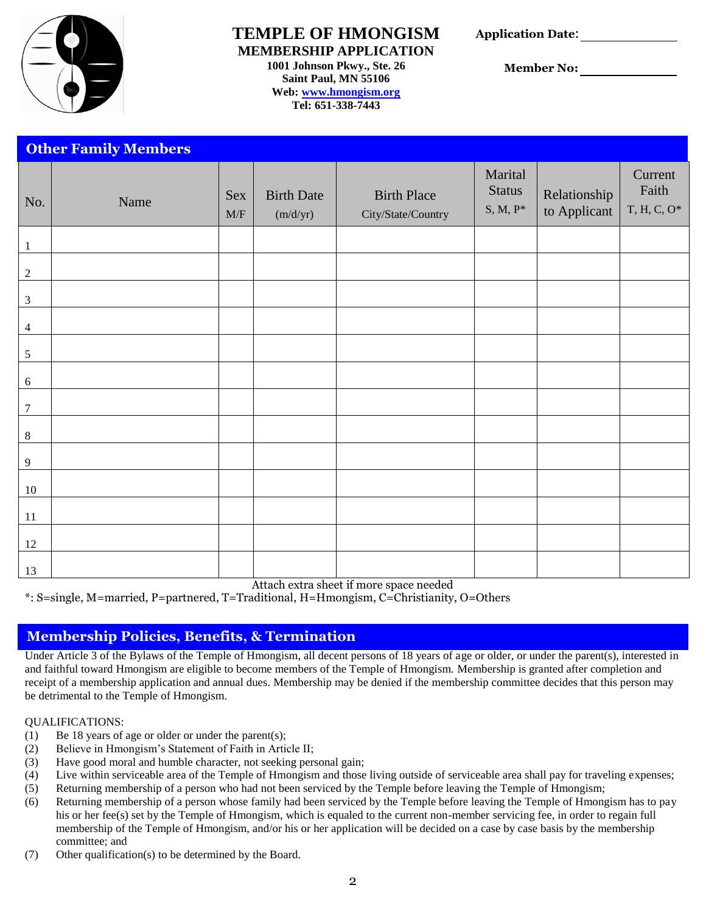

## **TEMPLE OF HMONGISM MEMBERSHIP APPLICATION**

**1001 Johnson Pkwy., Ste. 26 Saint Paul, MN 55106 Web[: www.hmongism.org](http://www.hmongism.org/) Tel: 651-338-7443**

**Application Date**:

 **Member No:** 

|                  | <b>Other Family Members</b> |                                         |                               |                                          |                                         |                              |                                    |
|------------------|-----------------------------|-----------------------------------------|-------------------------------|------------------------------------------|-----------------------------------------|------------------------------|------------------------------------|
| No.              | Name                        | <b>Sex</b><br>$\ensuremath{\text{M/F}}$ | <b>Birth Date</b><br>(m/d/yr) | <b>Birth Place</b><br>City/State/Country | Marital<br><b>Status</b><br>$S, M, P^*$ | Relationship<br>to Applicant | Current<br>Faith<br>$T, H, C, O^*$ |
| $\mathbf{1}$     |                             |                                         |                               |                                          |                                         |                              |                                    |
| $\sqrt{2}$       |                             |                                         |                               |                                          |                                         |                              |                                    |
| $\mathfrak{Z}$   |                             |                                         |                               |                                          |                                         |                              |                                    |
| $\overline{4}$   |                             |                                         |                               |                                          |                                         |                              |                                    |
| $\sqrt{5}$       |                             |                                         |                               |                                          |                                         |                              |                                    |
| $\sqrt{6}$       |                             |                                         |                               |                                          |                                         |                              |                                    |
| $\boldsymbol{7}$ |                             |                                         |                               |                                          |                                         |                              |                                    |
| $\,8\,$          |                             |                                         |                               |                                          |                                         |                              |                                    |
| 9                |                             |                                         |                               |                                          |                                         |                              |                                    |
| 10               |                             |                                         |                               |                                          |                                         |                              |                                    |
| 11               |                             |                                         |                               |                                          |                                         |                              |                                    |
| 12               |                             |                                         |                               |                                          |                                         |                              |                                    |
| 13               |                             |                                         |                               |                                          |                                         |                              |                                    |

Attach extra sheet if more space needed

\*: S=single, M=married, P=partnered, T=Traditional, H=Hmongism, C=Christianity, O=Others

# **Membership Policies, Benefits, & Termination**

Under Article 3 of the Bylaws of the Temple of Hmongism, all decent persons of 18 years of age or older, or under the parent(s), interested in and faithful toward Hmongism are eligible to become members of the Temple of Hmongism. Membership is granted after completion and receipt of a membership application and annual dues. Membership may be denied if the membership committee decides that this person may be detrimental to the Temple of Hmongism.

#### QUALIFICATIONS:

- (1) Be 18 years of age or older or under the parent(s);
- (2) Believe in Hmongism's Statement of Faith in Article II;
- (3) Have good moral and humble character, not seeking personal gain;
- (4) Live within serviceable area of the Temple of Hmongism and those living outside of serviceable area shall pay for traveling expenses;
- (5) Returning membership of a person who had not been serviced by the Temple before leaving the Temple of Hmongism;
- (6) Returning membership of a person whose family had been serviced by the Temple before leaving the Temple of Hmongism has to pay his or her fee(s) set by the Temple of Hmongism, which is equaled to the current non-member servicing fee, in order to regain full membership of the Temple of Hmongism, and/or his or her application will be decided on a case by case basis by the membership committee; and
- (7) Other qualification(s) to be determined by the Board.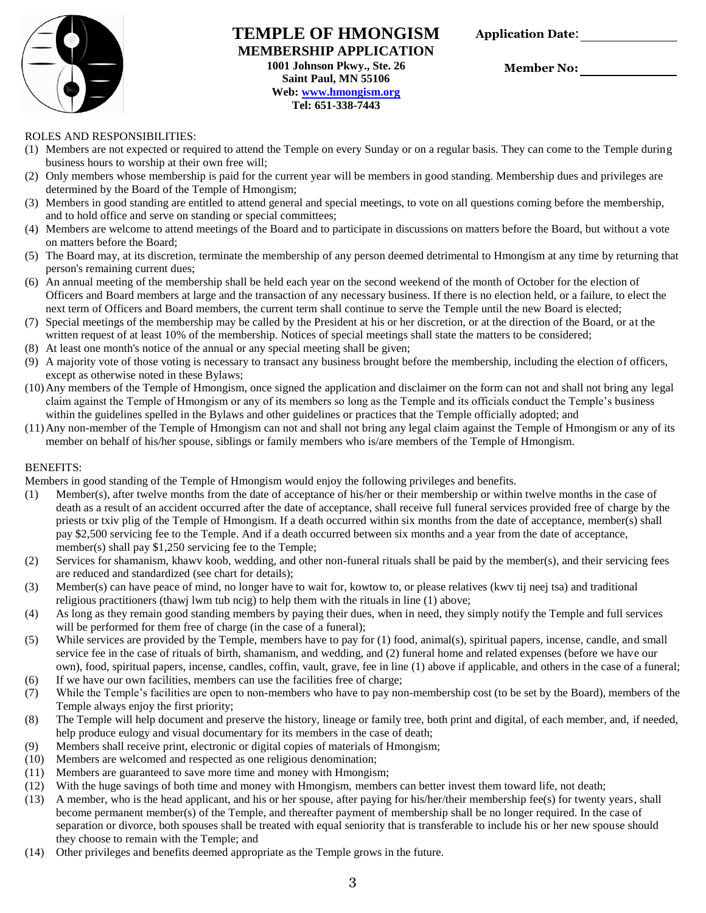

#### **TEMPLE OF HMONGISM MEMBERSHIP APPLICATION 1001 Johnson Pkwy., Ste. 26 Saint Paul, MN 55106 Web[: www.hmongism.org](http://www.hmongism.org/) Tel: 651-338-7443**

**Application Date**:

 **Member No:** 

#### ROLES AND RESPONSIBILITIES:

- (1) Members are not expected or required to attend the Temple on every Sunday or on a regular basis. They can come to the Temple during business hours to worship at their own free will;
- (2) Only members whose membership is paid for the current year will be members in good standing. Membership dues and privileges are determined by the Board of the Temple of Hmongism;
- (3) Members in good standing are entitled to attend general and special meetings, to vote on all questions coming before the membership, and to hold office and serve on standing or special committees;
- (4) Members are welcome to attend meetings of the Board and to participate in discussions on matters before the Board, but without a vote on matters before the Board;
- (5) The Board may, at its discretion, terminate the membership of any person deemed detrimental to Hmongism at any time by returning that person's remaining current dues;
- (6) An annual meeting of the membership shall be held each year on the second weekend of the month of October for the election of Officers and Board members at large and the transaction of any necessary business. If there is no election held, or a failure, to elect the next term of Officers and Board members, the current term shall continue to serve the Temple until the new Board is elected;
- (7) Special meetings of the membership may be called by the President at his or her discretion, or at the direction of the Board, or at the written request of at least 10% of the membership. Notices of special meetings shall state the matters to be considered;
- (8) At least one month's notice of the annual or any special meeting shall be given;
- (9) A majority vote of those voting is necessary to transact any business brought before the membership, including the election of officers, except as otherwise noted in these Bylaws;
- (10)Any members of the Temple of Hmongism, once signed the application and disclaimer on the form can not and shall not bring any legal claim against the Temple of Hmongism or any of its members so long as the Temple and its officials conduct the Temple's business within the guidelines spelled in the Bylaws and other guidelines or practices that the Temple officially adopted; and
- (11)Any non-member of the Temple of Hmongism can not and shall not bring any legal claim against the Temple of Hmongism or any of its member on behalf of his/her spouse, siblings or family members who is/are members of the Temple of Hmongism.

#### BENEFITS:

Members in good standing of the Temple of Hmongism would enjoy the following privileges and benefits.

- (1) Member(s), after twelve months from the date of acceptance of his/her or their membership or within twelve months in the case of death as a result of an accident occurred after the date of acceptance, shall receive full funeral services provided free of charge by the priests or txiv plig of the Temple of Hmongism. If a death occurred within six months from the date of acceptance, member(s) shall pay \$2,500 servicing fee to the Temple. And if a death occurred between six months and a year from the date of acceptance, member(s) shall pay \$1,250 servicing fee to the Temple;
- (2) Services for shamanism, khawv koob, wedding, and other non-funeral rituals shall be paid by the member(s), and their servicing fees are reduced and standardized (see chart for details);
- (3) Member(s) can have peace of mind, no longer have to wait for, kowtow to, or please relatives (kwv tij neej tsa) and traditional religious practitioners (thawj lwm tub ncig) to help them with the rituals in line (1) above;
- (4) As long as they remain good standing members by paying their dues, when in need, they simply notify the Temple and full services will be performed for them free of charge (in the case of a funeral);
- (5) While services are provided by the Temple, members have to pay for (1) food, animal(s), spiritual papers, incense, candle, and small service fee in the case of rituals of birth, shamanism, and wedding, and (2) funeral home and related expenses (before we have our own), food, spiritual papers, incense, candles, coffin, vault, grave, fee in line (1) above if applicable, and others in the case of a funeral;
- (6) If we have our own facilities, members can use the facilities free of charge;
- (7) While the Temple's facilities are open to non-members who have to pay non-membership cost (to be set by the Board), members of the Temple always enjoy the first priority;
- (8) The Temple will help document and preserve the history, lineage or family tree, both print and digital, of each member, and, if needed, help produce eulogy and visual documentary for its members in the case of death;
- (9) Members shall receive print, electronic or digital copies of materials of Hmongism;
- (10) Members are welcomed and respected as one religious denomination;
- (11) Members are guaranteed to save more time and money with Hmongism;
- (12) With the huge savings of both time and money with Hmongism, members can better invest them toward life, not death;
- (13) A member, who is the head applicant, and his or her spouse, after paying for his/her/their membership fee(s) for twenty years, shall become permanent member(s) of the Temple, and thereafter payment of membership shall be no longer required. In the case of separation or divorce, both spouses shall be treated with equal seniority that is transferable to include his or her new spouse should they choose to remain with the Temple; and
- (14) Other privileges and benefits deemed appropriate as the Temple grows in the future.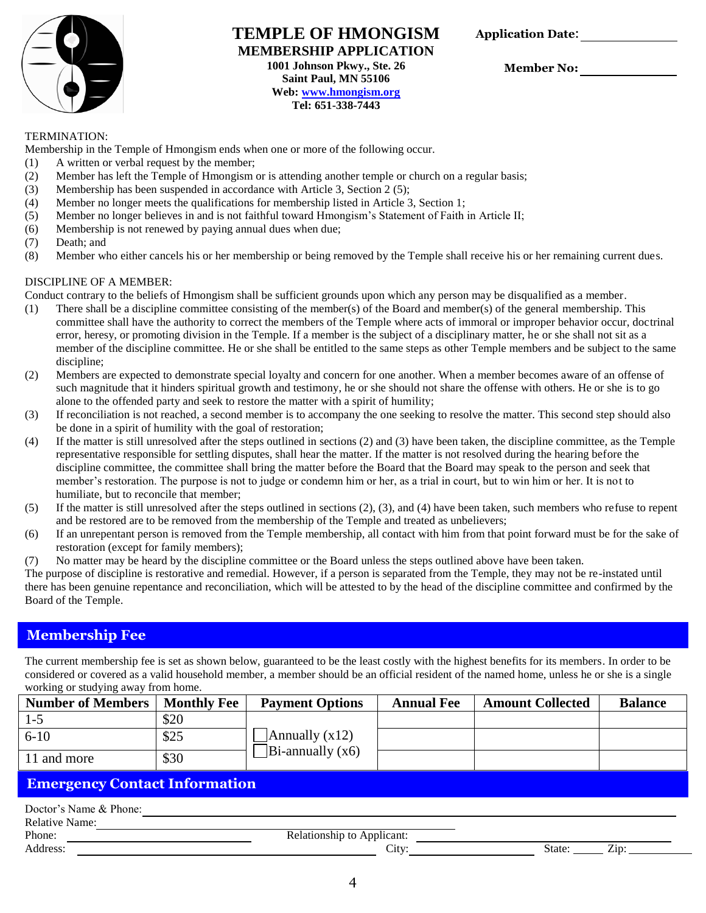

### **TEMPLE OF HMONGISM MEMBERSHIP APPLICATION 1001 Johnson Pkwy., Ste. 26 Saint Paul, MN 55106 Web[: www.hmongism.org](http://www.hmongism.org/) Tel: 651-338-7443**

**Application Date**:

 **Member No:** 

#### TERMINATION:

Membership in the Temple of Hmongism ends when one or more of the following occur.

- (1) A written or verbal request by the member;
- (2) Member has left the Temple of Hmongism or is attending another temple or church on a regular basis;
- (3) Membership has been suspended in accordance with Article 3, Section 2 (5);
- (4) Member no longer meets the qualifications for membership listed in Article 3, Section 1;
- (5) Member no longer believes in and is not faithful toward Hmongism's Statement of Faith in Article II;
- (6) Membership is not renewed by paying annual dues when due;
- (7) Death; and
- (8) Member who either cancels his or her membership or being removed by the Temple shall receive his or her remaining current dues.

#### DISCIPLINE OF A MEMBER:

Conduct contrary to the beliefs of Hmongism shall be sufficient grounds upon which any person may be disqualified as a member.

- (1) There shall be a discipline committee consisting of the member(s) of the Board and member(s) of the general membership. This committee shall have the authority to correct the members of the Temple where acts of immoral or improper behavior occur, doctrinal error, heresy, or promoting division in the Temple. If a member is the subject of a disciplinary matter, he or she shall not sit as a member of the discipline committee. He or she shall be entitled to the same steps as other Temple members and be subject to the same discipline;
- (2) Members are expected to demonstrate special loyalty and concern for one another. When a member becomes aware of an offense of such magnitude that it hinders spiritual growth and testimony, he or she should not share the offense with others. He or she is to go alone to the offended party and seek to restore the matter with a spirit of humility;
- (3) If reconciliation is not reached, a second member is to accompany the one seeking to resolve the matter. This second step should also be done in a spirit of humility with the goal of restoration;
- (4) If the matter is still unresolved after the steps outlined in sections (2) and (3) have been taken, the discipline committee, as the Temple representative responsible for settling disputes, shall hear the matter. If the matter is not resolved during the hearing before the discipline committee, the committee shall bring the matter before the Board that the Board may speak to the person and seek that member's restoration. The purpose is not to judge or condemn him or her, as a trial in court, but to win him or her. It is not to humiliate, but to reconcile that member;
- (5) If the matter is still unresolved after the steps outlined in sections (2), (3), and (4) have been taken, such members who refuse to repent and be restored are to be removed from the membership of the Temple and treated as unbelievers;
- (6) If an unrepentant person is removed from the Temple membership, all contact with him from that point forward must be for the sake of restoration (except for family members);
- (7) No matter may be heard by the discipline committee or the Board unless the steps outlined above have been taken.

The purpose of discipline is restorative and remedial. However, if a person is separated from the Temple, they may not be re-instated until there has been genuine repentance and reconciliation, which will be attested to by the head of the discipline committee and confirmed by the Board of the Temple.

## **Membership Fee**

The current membership fee is set as shown below, guaranteed to be the least costly with the highest benefits for its members. In order to be considered or covered as a valid household member, a member should be an official resident of the named home, unless he or she is a single working or studying away from home.

| <b>Number of Members   Monthly Fee</b> |      | <b>Payment Options</b>                   | <b>Annual Fee</b> | <b>Amount Collected</b> | <b>Balance</b> |
|----------------------------------------|------|------------------------------------------|-------------------|-------------------------|----------------|
| $1 - 5$                                | \$20 |                                          |                   |                         |                |
| $6 - 10$                               | \$25 | Annually $(x12)$                         |                   |                         |                |
| 11 and more                            | \$30 | $\left  \text{Bi-annually} \right  (x6)$ |                   |                         |                |

# **Emergency Contact Information**

| Doctor's Name & Phone: |                            |               |
|------------------------|----------------------------|---------------|
| <b>Relative Name:</b>  |                            |               |
| Phone:                 | Relationship to Applicant: |               |
| Address:               | Citv:                      | State:<br>Z1D |